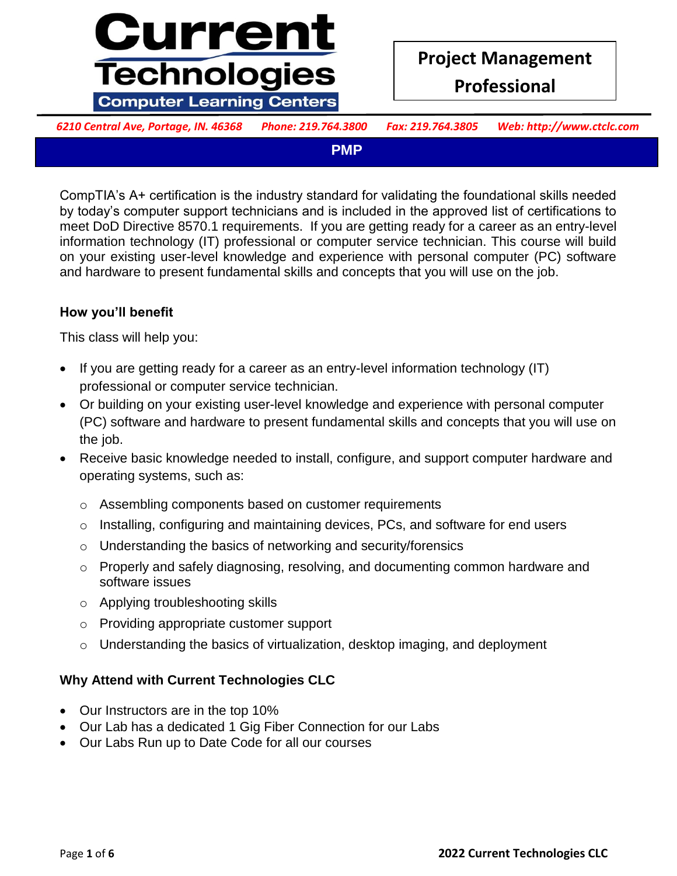

*6210 Central Ave, Portage, IN. 46368 Phone: 219.764.3800 Fax: 219.764.3805 Web: http://www.ctclc.com*

**PMP**

by today's computer support technicians and is included in the approved list of certifications to meet DoD Directive 8570.1 requirements. If you are getting ready for a career as an entry-level information technology (ii) professional or computer service technician. This course will build<br>on your existing user-level knowledge and experience with personal computer (PC) software and hardware to present fundamental skills and concepts that you will use on the job. CompTIA's A+ certification is the industry standard for validating the foundational skills needed information technology (IT) professional or computer service technician. This course will build

# **require to be successful to be successful and also be successful also be successful also be successful and also be successful and also be successful and also be successful and also be successful and also be successful and**

**are preparing to take the CompTIA Server+ examination (Exam SK0-004).**  This class will help you:

- professional or computer service technician. • If you are getting ready for a career as an entry-level information technology (IT)
- **The job.** This course is designed for  $\alpha$  is designed for  $\alpha$ , and help designed  $\alpha$ , and help designed  $\alpha$  Or building on your existing user-level knowledge and experience with personal computer (PC) software and hardware to present fundamental skills and concepts that you will use on the job.
- **•** Receive basic knowledge needed to install, configure, and support computer hardware and operating systems, such as: **we hardware server support support support support support support support support** 
	- o Assembling components based on customer requirements
	- o Installing, configuring and maintaining devices, PCs, and software for end users
- o Understanding the basics of networking and security/forensics
	- o Properly and safely diagnosing, resolving, and documenting common hardware and software issues
- o Applying troubleshooting skills **on a state 18 months of the state 18 months of hands-on a state 18 months of hands-on**  $\alpha$  **and**  $\alpha$  **and**  $\alpha$  **and**  $\alpha$  **and**  $\alpha$  **and**  $\alpha$  **and**  $\alpha$  **and**  $\alpha$  **and**  $\alpha$  **and**  $\alpha$  **and**  $\alpha$  **and \**
- o Providing appropriate customer support **configuration**
- o Understanding the basics of virtualization, desktop imaging, and deployment

## **EXPLOM CULLS AND ATTER IN STRING AND ATTAIN AND ATTAIN ATTAINMENT ATTAINMENT ATTAINMENT ATTAINMENT ATTAINMENT ATTAINMENT ATTAINMENT ATTAINMENT ATTAINMENT ATTAINMENT ATTAINMENT ATTAINMENT ATTAINMENT ATTAINMENT ATTAINMENT**

- **courses:** • Our Instructors are in the top 10%
- **•** Our Lab has a dedicated 1 Gig Fiber Connection for our Labs
	- Our Labs Run up to Date Code for all our courses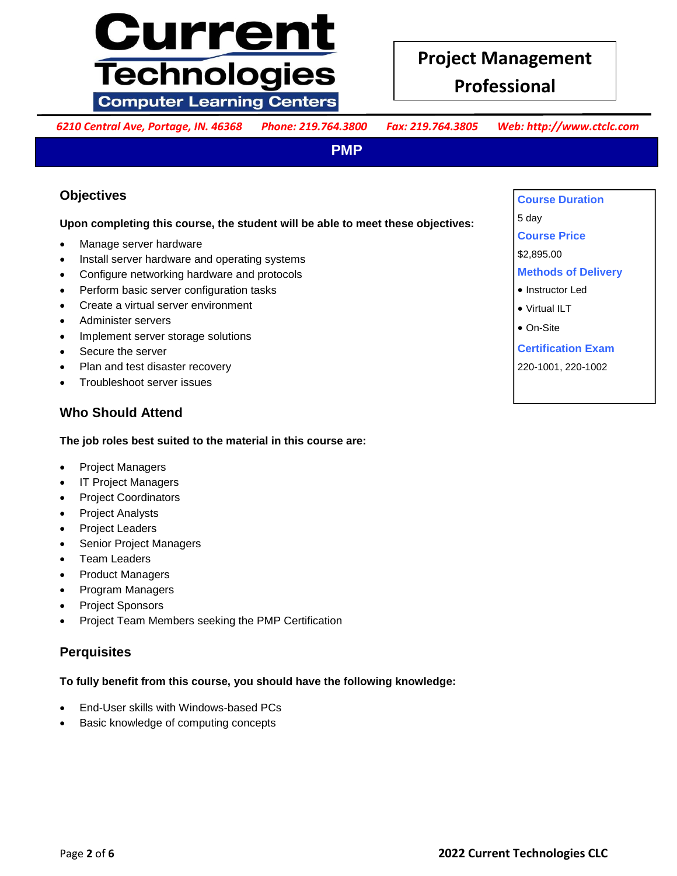# **Current Technologies Computer Learning Centers**

# **Project Management Professional**

*6210 Central Ave, Portage, IN. 46368 Phone: 219.764.3800 Fax: 219.764.3805 Web: http://www.ctclc.com*

**PMP**

## **Objectives**

# Upon completing this course, the student will be able to meet these objectives:<br>Course Price

- 
- Install server hardware and operating systems
- **Examples installation in the server transmission of the protocols Configure 1.1 Server in the protocols Configure networking hardware and protocols**
- Perform basic server configuration tasks **and skills you will be a server and server and server configuration tasks**
- Create a virtual server environment **also benefit you if you have also been** also benefit you be virtual lLT
- **a** Administer servers **are preparing to take the CompTIA Server Serverse and**  $\bullet$  **On-9**  Administer servers
	- Implement server storage solutions
	- Secure the server
	- Plan and test disaster recovery
- **•** Troubleshoot server issues

## **Who Should Attend**

## The job roles best suited to the material in this course are:

- **•** Project Managers **Wish to be a support of the supporting PC** has a support of  $\mathbb{R}$  and  $\mathbb{R}$  **Project Managers**
- **make the transition to be the transition of the transition of the support specialists. The support specialists of the support specialists.** The support specialists of the support specialists. **A** support support special
	- Project Coordinators
	- Project Analysts
	- Project Leaders
- **•** Senior Project Managers
	- Team Leaders
	- Product Managers
	- Program Managers
- **The ensure Sponsors in the success in the success in the 18 to 24 months of the 24 months of hands-on an amount of hands-on**  $\mathbb{R}^n$  **and**  $\mathbb{R}^n$  **and**  $\mathbb{R}^n$  **and**  $\mathbb{R}^n$  **and**  $\mathbb{R}^n$  **and**  $\mathbb{R}^n$  **and \mathbb{R}**
- **•** Project Team Members seeking the PMP Certification

#### **troubleshooting of PC hardware and network operating system issues. It is also**  recommended that you have the CompTIA A+ certification or the equivalent training and  $\mathcal{L}$  and  $\mathcal{L}$  and  $\mathcal{L}$  and  $\mathcal{L}$  and  $\mathcal{L}$  and  $\mathcal{L}$  and  $\mathcal{L}$  are comptiments of the equivalent training and  $\$ **Perquisites**

## To fully benefit from this course, you should have the following knowledge:

- **courses:** End-User skills with Windows-based PCs
- **•** Basic knowledge of computing concepts

 $\frac{1}{\sqrt{2}}$  dout • Manage server hardware **include any type of the include any type of the include any type of network server.** If you have a server hardware **include a server.** If you have a server hardware **include a server of the includ Course Duration**  5 day **Course Price**  \$2,895.00 **Methods of Delivery**  • Instructor Led Virtual ILT On-Site **Certification Exam** 220-1001, 220-1002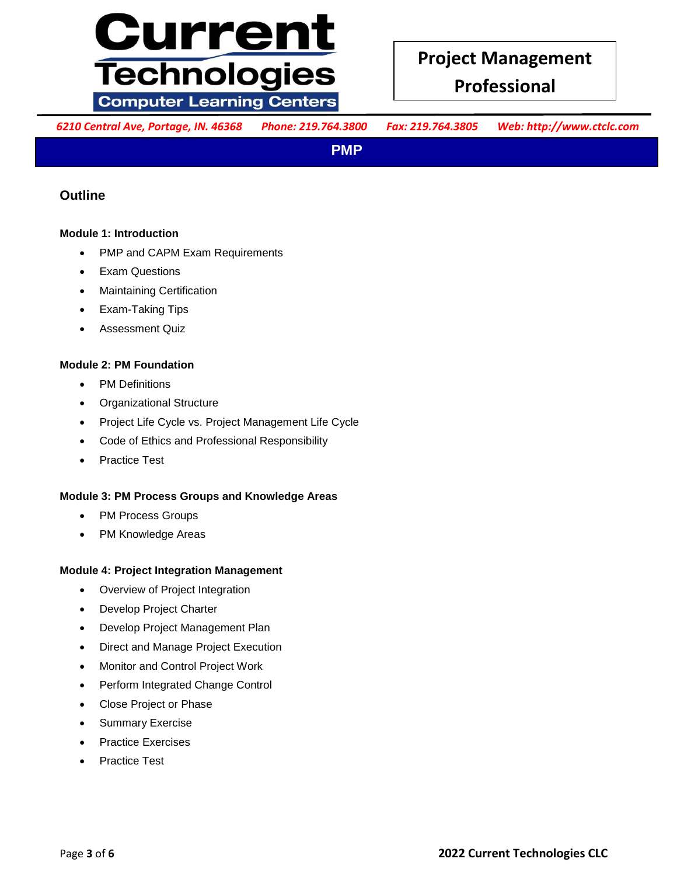

**Professional**

*6210 Central Ave, Portage, IN. 46368 Phone: 219.764.3800 Fax: 219.764.3805 Web: http://www.ctclc.com*

**PMP**

## **Outline**

## **computer introduction computer to present the next time in the next time in the next time in the next time in the next time in the next time in the next time in the next time in the next time in the next time in the nex**

- **use on the pair of the include Server.** If you have a series in the server. If you have a series in the server. If you have a series in the server. If you have a series in the server. If you have a series in the series in
- **server the server transfer transfer transfer transfer than the installation of the server of the server of any type**  $\mathbb{R}^n$  **or if you are preparing for any type**  $\mathbb{R}^n$  **or if you are preparing for any type \mathbb{R}^n** Exam Questions
- **•** Maintaining Certification
- **e** Exam-Taking Tips
- **a** Assessment Quiz **Example 1004**

#### **Module 2: PM Foundation**

- **•** PM Definitions
	- Organizational Structure
	- Project Life Cycle vs. Project Management Life Cycle
- **•** Code of Ethics and Professional Responsibility
- **the sympath experience supporting PC** has a structure who wish to  $\mathbf{r}$  and  $\mathbf{r}$  is a structure who wish to  $\mathbf{r}$  and  $\mathbf{r}$  is a structure who wish to  $\mathbf{r}$  and  $\mathbf{r}$  is a structure who wish to  $\mathbf{r}$ • Practice Test

#### **Module 3: PM Process Groups and Knowledge Areas**

- PM Process Groups
- **Perquisites** • PM Knowledge Areas

#### **Module 4: Project Integration Management**

- Overview of Project Integration
- **To ensure in your success in the U.S. To 24 months of the 24 months of the 24 months of the 24 months of the 24 months of the 24 months of hands-on**  $\mathcal{L}$  **and**  $\mathcal{L}$  **and**  $\mathcal{L}$  **and**  $\mathcal{L}$  **and**  $\mathcal{L}$  **and**  $\mathcal{L}$
- **e** Develop Project Management Plan
- **troubleshooting of PC hardware and network operating system issues. It is also**  Direct and Manage Project Execution
- **•** Monitor and Control Project Work
- **e** Perform Integrated Change Control
- **courses:** Close Project or Phase
- **Commary Exercise** 
	- Practice Exercises
- **Comparison Fiactice Test** Practice Test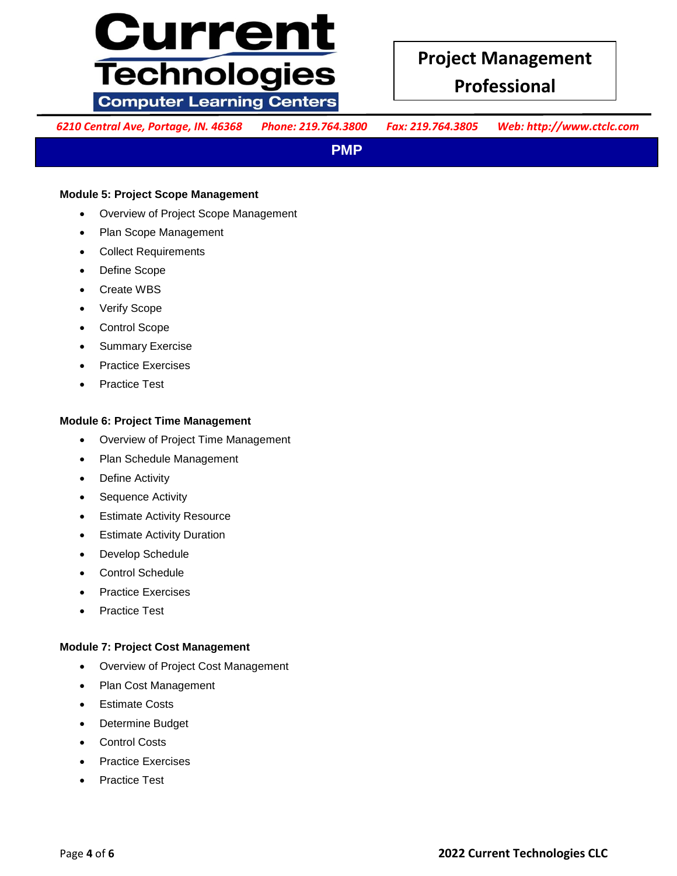# <u>Current</u> **Technologies Computer Learning Centers**

**Professional**

*6210 Central Ave, Portage, IN. 46368 Phone: 219.764.3800 Fax: 219.764.3805 Web: http://www.ctclc.com*

**PMP**

#### **Module 5: Project Scope Management**

- **•** Overview of Project Scope Management **build build a court of Project Scope Management**
- **computer Scope Management by and concept time in the next time in the next time in the next time in the next time in the next time in the next time in the next time in the next time in the next time in the next time in**
- **use on the intervents of the include any type of network server.** If you have a series in the server. If you have a series in the server. If you have a series in the server. If you have a series in the series in the serie
- **server the Scope comparing for any type**  $\alpha$  **is any type**  $\alpha$  **or if you are preparing for any type**  $\alpha$  **is any type**  $\alpha$  **if**  $\alpha$  **is any type**  $\alpha$  **is any type**  $\alpha$  **is any type**  $\alpha$  **is any type**  $\alpha$  **is any type**  $\alpha$  **is an** Define Scope
- **o** Create WBS server-related career and skills you will be primary knowledge and skills you will be primary knowledge and skills you will be provided and skills you will be provided and skills you will be an analyze of th Create WBS
- **e** Verify Scope **Serverthe CompTIA** Verify Scope
- **are control Scope** examination (Example 1995). **Control Scope** 
	- Summary Exercise
	- Practice Exercises
- **•** Practice Test

#### **Module 6: Project Time Management**

- **•** Overview of Project Time Management
- **•** Plan Schedule Management
- **make the transition to be the transition to be server that is specified and support specified and support specified and support specified and support specified and support specified and support specified and support speci**  Define Activity
	- Sequence Activity
	- Estimate Activity Resource
- **Perquisites** Estimate Activity Duration
	- Develop Schedule
	- Control Schedule
	- Practice Exercises
- **To ensure your success in your course, you should have 18 to 24 months of hands-on**  Practice Test

## **throubles are project Cost Management and network operations is also also in the system is also be also be also be also be also be also be also be also be also be also be also be also be also be also be also be also be**

- **•** Overview of Project Cost Management **by a comparison of the example of Project** Cost Management
- **e** Plan Cost Management • Plan Cost Management
- **courses:** Estimate Costs
- **•** Determine Budget
	- Control Costs
- **Comptians Exercises Comptians and a fundamental possession of the fundamental**  $\mathbb{R}^n$  **and a fundamental**  $\mathbb{R}^n$  **and**  $\mathbb{R}^n$  **and**  $\mathbb{R}^n$  **and**  $\mathbb{R}^n$  **and**  $\mathbb{R}^n$  **and**  $\mathbb{R}^n$  **and**  $\mathbb{R}^n$  **and \mathbb{R}** 
	- Practice Test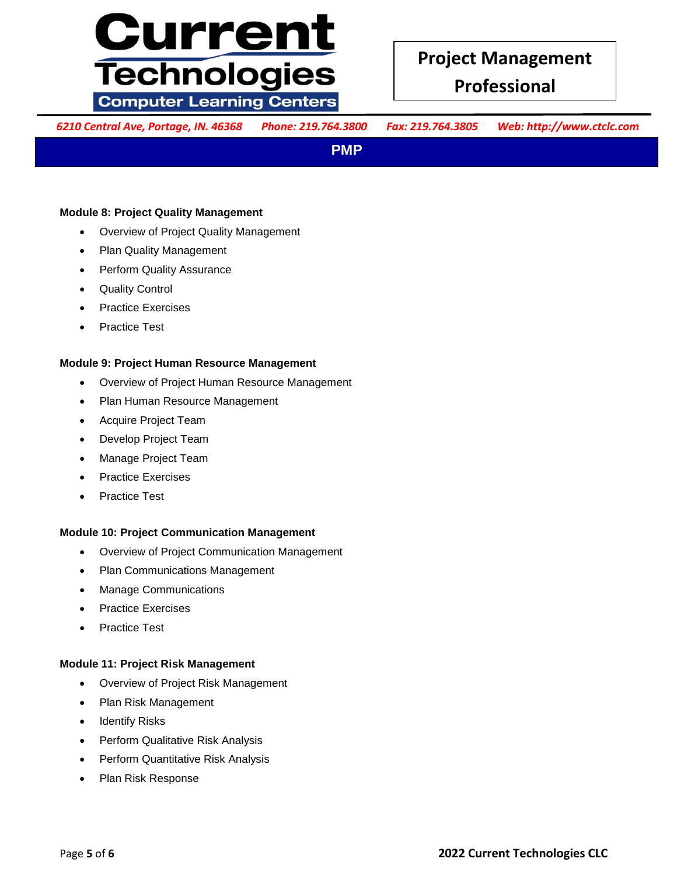# <u>Current</u> **Technologies Computer Learning Centers**

*6210 Central Ave, Portage, IN. 46368 Phone: 219.764.3800 Fax: 219.764.3805 Web: http://www.ctclc.com*

**PMP**

#### **Module 8: Project Quality Management All and** *Stephen and Culture with personal and all and all and all and all and all and all and all and all and all and all and all and all and all and all and all and all and all and*

- **•** Overview of Project Quality Management **by and concept that you will be a vertex** of  $\blacksquare$
- **use on the include administerior of network server.** If you have a server include  $\mathbb{R}^n$  and  $\mathbb{R}^n$  and  $\mathbb{R}^n$  are included in  $\mathbb{R}^n$  and  $\mathbb{R}^n$  are included in  $\mathbb{R}^n$  and  $\mathbb{R}^n$  are included i
- **server the Server Troubles and Server Troubles and Server Troubles are prepared for any type <b>Perform Quality Assurance**
- **o** Quality Control Quality Control
- **•** Practice Exercises
- **a** Practice Test

#### **Module 9: Project Human Resource Management**

- **•** Overview of Project Human Resource Management
	- Plan Human Resource Management
	- Acquire Project Team
- **The Course is designed for IT professionals such as PC, designed for IT professionals such as PC, designed in the such as PC, designed in the such as PC, designed in the such as PC, designed in the such as PC, designed in** Develop Project Team
- **technicians who have experience supporting PC has a support of the wish to be wish to be written who wish to be wish to be wish to be written with the wish of the wish of the wish to be wish to be written with the wish of** Manage Project Team
- **make the transition to be the transition to be complete** server  $\mathbf{r}$  is a support specialist of the support specialists. **The support specialists** of the support specialists of the support specialists of the support s Practice Exercises
	- Practice Test

#### **Module 10: Project Communication Management**

- **Persons**<br> **Permiew of Project Communication Management** 
	- Plan Communications Management
	- Manage Communications
- **To ensure Success in the Success in the Succession of the 18 to 24 months of the 18 to 24 months of hands-on**  $\mathbb{R}^n$  **and**  $\mathbb{R}^n$  **and**  $\mathbb{R}^n$  **and**  $\mathbb{R}^n$  **and**  $\mathbb{R}^n$  **and**  $\mathbb{R}^n$  **and**  $\mathbb{R}^n$  **and \mathbb{R}**
- **e** Practice Test Practice Test

## **recommended that Shave the CompTIA A+ certification or the extension of the extension of the extension of the extension of the extension of the extension of the extension of the extension of the extension of the extension**

- **e** Overview of Project Risk Management **by the following in the following and knowledge by the following and the following and the following and the following and the following and the following and the following and the**
- **courses:** Plan Risk Management
- **CompaNDIAS CompaNDIAS CompaNDIAGO** • Identify Risks
	- Perform Qualitative Risk Analysis
- **Company of Perform Quantitative Risk Analysis Example 2018 Company of Company Analysis** 
	- Plan Risk Response